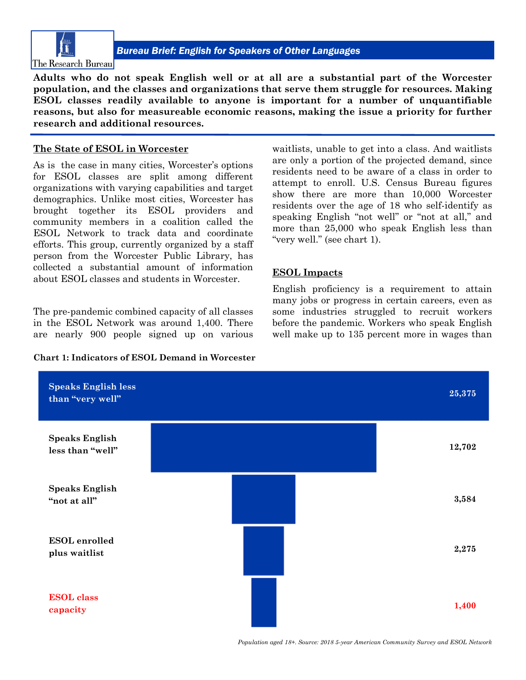

**Adults who do not speak English well or at all are a substantial part of the Worcester population, and the classes and organizations that serve them struggle for resources. Making ESOL classes readily available to anyone is important for a number of unquantifiable reasons, but also for measureable economic reasons, making the issue a priority for further research and additional resources.**

## **The State of ESOL in Worcester**

As is the case in many cities, Worcester's options for ESOL classes are split among different organizations with varying capabilities and target demographics. Unlike most cities, Worcester has brought together its ESOL providers and community members in a coalition called the ESOL Network to track data and coordinate efforts. This group, currently organized by a staff person from the Worcester Public Library, has collected a substantial amount of information about ESOL classes and students in Worcester.

The pre-pandemic combined capacity of all classes in the ESOL Network was around 1,400. There are nearly 900 people signed up on various

**Chart 1: Indicators of ESOL Demand in Worcester**

waitlists, unable to get into a class. And waitlists are only a portion of the projected demand, since residents need to be aware of a class in order to attempt to enroll. U.S. Census Bureau figures show there are more than 10,000 Worcester residents over the age of 18 who self-identify as speaking English "not well" or "not at all," and more than 25,000 who speak English less than "very well." (see chart 1).

## **ESOL Impacts**

English proficiency is a requirement to attain many jobs or progress in certain careers, even as some industries struggled to recruit workers before the pandemic. Workers who speak English well make up to 135 percent more in wages than



*Population aged 18+. Source: 2018 5-year American Community Survey and ESOL Network*